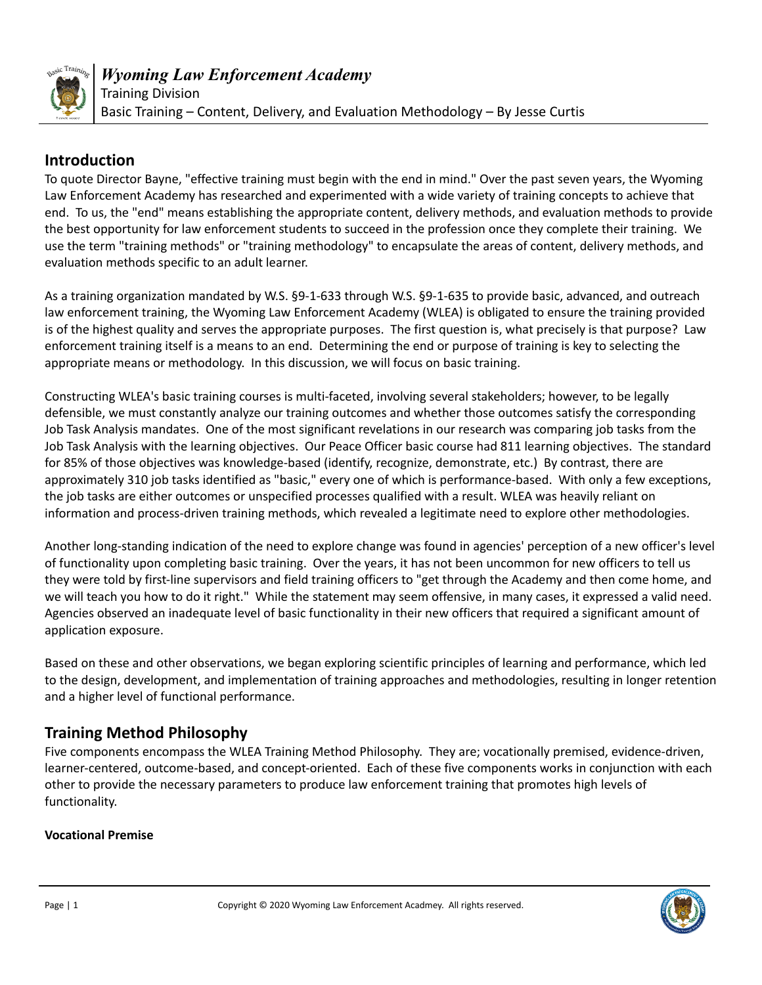

## **Introduction**

To quote Director Bayne, "effective training must begin with the end in mind." Over the past seven years, the Wyoming Law Enforcement Academy has researched and experimented with a wide variety of training concepts to achieve that end. To us, the "end" means establishing the appropriate content, delivery methods, and evaluation methods to provide the best opportunity for law enforcement students to succeed in the profession once they complete their training. We use the term "training methods" or "training methodology" to encapsulate the areas of content, delivery methods, and evaluation methods specific to an adult learner.

As a training organization mandated by W.S. §9-1-633 through W.S. §9-1-635 to provide basic, advanced, and outreach law enforcement training, the Wyoming Law Enforcement Academy (WLEA) is obligated to ensure the training provided is of the highest quality and serves the appropriate purposes. The first question is, what precisely is that purpose? Law enforcement training itself is a means to an end. Determining the end or purpose of training is key to selecting the appropriate means or methodology. In this discussion, we will focus on basic training.

Constructing WLEA's basic training courses is multi-faceted, involving several stakeholders; however, to be legally defensible, we must constantly analyze our training outcomes and whether those outcomes satisfy the corresponding Job Task Analysis mandates. One of the most significant revelations in our research was comparing job tasks from the Job Task Analysis with the learning objectives. Our Peace Officer basic course had 811 learning objectives. The standard for 85% of those objectives was knowledge-based (identify, recognize, demonstrate, etc.) By contrast, there are approximately 310 job tasks identified as "basic," every one of which is performance-based. With only a few exceptions, the job tasks are either outcomes or unspecified processes qualified with a result. WLEA was heavily reliant on information and process-driven training methods, which revealed a legitimate need to explore other methodologies.

Another long-standing indication of the need to explore change was found in agencies' perception of a new officer's level of functionality upon completing basic training. Over the years, it has not been uncommon for new officers to tell us they were told by first-line supervisors and field training officers to "get through the Academy and then come home, and we will teach you how to do it right." While the statement may seem offensive, in many cases, it expressed a valid need. Agencies observed an inadequate level of basic functionality in their new officers that required a significant amount of application exposure.

Based on these and other observations, we began exploring scientific principles of learning and performance, which led to the design, development, and implementation of training approaches and methodologies, resulting in longer retention and a higher level of functional performance.

# **Training Method Philosophy**

Five components encompass the WLEA Training Method Philosophy. They are; vocationally premised, evidence-driven, learner-centered, outcome-based, and concept-oriented. Each of these five components works in conjunction with each other to provide the necessary parameters to produce law enforcement training that promotes high levels of functionality.

### **Vocational Premise**